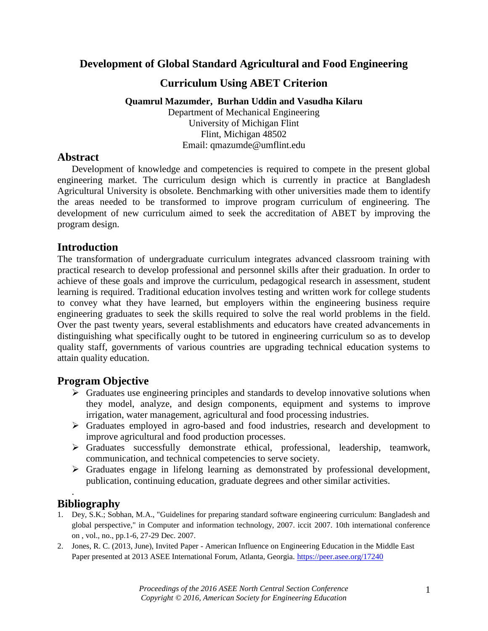# **Development of Global Standard Agricultural and Food Engineering**

### **Curriculum Using ABET Criterion**

#### **Quamrul Mazumder, Burhan Uddin and Vasudha Kilaru**

Department of Mechanical Engineering University of Michigan Flint Flint, Michigan 48502 Email: qmazumde@umflint.edu

#### **Abstract**

Development of knowledge and competencies is required to compete in the present global engineering market. The curriculum design which is currently in practice at Bangladesh Agricultural University is obsolete. Benchmarking with other universities made them to identify the areas needed to be transformed to improve program curriculum of engineering. The development of new curriculum aimed to seek the accreditation of ABET by improving the program design.

### **Introduction**

The transformation of undergraduate curriculum integrates advanced classroom training with practical research to develop professional and personnel skills after their graduation. In order to achieve of these goals and improve the curriculum, pedagogical research in assessment, student learning is required. Traditional education involves testing and written work for college students to convey what they have learned, but employers within the engineering business require engineering graduates to seek the skills required to solve the real world problems in the field. Over the past twenty years, several establishments and educators have created advancements in distinguishing what specifically ought to be tutored in engineering curriculum so as to develop quality staff, governments of various countries are upgrading technical education systems to attain quality education.

#### **Program Objective**

- $\triangleright$  Graduates use engineering principles and standards to develop innovative solutions when they model, analyze, and design components, equipment and systems to improve irrigation, water management, agricultural and food processing industries.
- Graduates employed in agro-based and food industries, research and development to improve agricultural and food production processes.
- Graduates successfully demonstrate ethical, professional, leadership, teamwork, communication, and technical competencies to serve society.
- $\triangleright$  Graduates engage in lifelong learning as demonstrated by professional development, publication, continuing education, graduate degrees and other similar activities.

# **Bibliography**

.

- 1. Dey, S.K.; Sobhan, M.A., "Guidelines for preparing standard software engineering curriculum: Bangladesh and global perspective," in Computer and information technology, 2007. iccit 2007. 10th international conference on , vol., no., pp.1-6, 27-29 Dec. 2007.
- 2. Jones, R. C. (2013, June), Invited Paper American Influence on Engineering Education in the Middle East Paper presented at 2013 ASEE International Forum, Atlanta, Georgia.<https://peer.asee.org/17240>